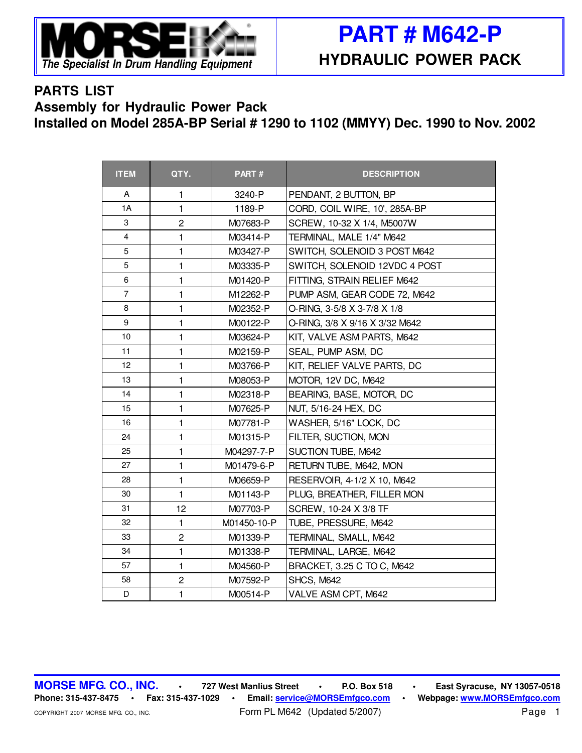

## **PARTS LIST Assembly for Hydraulic Power Pack Installed on Model 285A-BP Serial # 1290 to 1102 (MMYY) Dec. 1990 to Nov. 2002**

| <b>ITEM</b>             | QTY.           | PART#       | <b>DESCRIPTION</b>             |
|-------------------------|----------------|-------------|--------------------------------|
| A                       | 1              | 3240-P      | PENDANT, 2 BUTTON, BP          |
| 1A                      | $\mathbf{1}$   | 1189-P      | CORD, COIL WIRE, 10', 285A-BP  |
| 3                       | $\overline{c}$ | M07683-P    | SCREW, 10-32 X 1/4, M5007W     |
| $\overline{\mathbf{4}}$ | $\mathbf{1}$   | M03414-P    | TERMINAL, MALE 1/4" M642       |
| 5                       | 1              | M03427-P    | SWITCH, SOLENOID 3 POST M642   |
| 5                       | $\mathbf{1}$   | M03335-P    | SWITCH, SOLENOID 12VDC 4 POST  |
| 6                       | 1              | M01420-P    | FITTING, STRAIN RELIEF M642    |
| $\overline{7}$          | $\mathbf{1}$   | M12262-P    | PUMP ASM, GEAR CODE 72, M642   |
| 8                       | 1              | M02352-P    | O-RING, 3-5/8 X 3-7/8 X 1/8    |
| 9                       | 1              | M00122-P    | O-RING, 3/8 X 9/16 X 3/32 M642 |
| 10                      | $\mathbf{1}$   | M03624-P    | KIT, VALVE ASM PARTS, M642     |
| 11                      | 1              | M02159-P    | SEAL, PUMP ASM, DC             |
| 12                      | 1              | M03766-P    | KIT, RELIEF VALVE PARTS, DC    |
| 13                      | $\mathbf{1}$   | M08053-P    | MOTOR, 12V DC, M642            |
| 14                      | $\mathbf{1}$   | M02318-P    | BEARING, BASE, MOTOR, DC       |
| 15                      | $\mathbf{1}$   | M07625-P    | NUT, 5/16-24 HEX, DC           |
| 16                      | $\mathbf{1}$   | M07781-P    | WASHER, 5/16" LOCK, DC         |
| 24                      | 1              | M01315-P    | FILTER, SUCTION, MON           |
| 25                      | $\mathbf{1}$   | M04297-7-P  | SUCTION TUBE, M642             |
| 27                      | 1              | M01479-6-P  | RETURN TUBE, M642, MON         |
| 28                      | $\mathbf{1}$   | M06659-P    | RESERVOIR, 4-1/2 X 10, M642    |
| 30                      | $\mathbf{1}$   | M01143-P    | PLUG, BREATHER, FILLER MON     |
| 31                      | 12             | M07703-P    | SCREW, 10-24 X 3/8 TF          |
| 32                      | 1              | M01450-10-P | TUBE, PRESSURE, M642           |
| 33                      | $\overline{c}$ | M01339-P    | TERMINAL, SMALL, M642          |
| 34                      | $\mathbf{1}$   | M01338-P    | TERMINAL, LARGE, M642          |
| 57                      | $\mathbf{1}$   | M04560-P    | BRACKET, 3.25 C TO C, M642     |
| 58                      | $\overline{2}$ | M07592-P    | SHCS, M642                     |
| D                       | 1              | M00514-P    | VALVE ASM CPT, M642            |